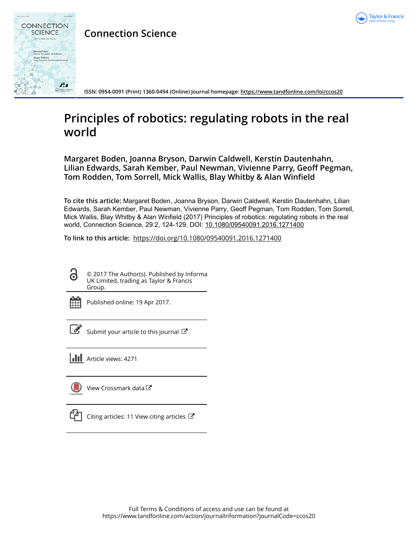

# <span id="page-0-0"></span>**CONNECTION Connection Science SCIENCE**

of Robotics **Guest Editors**<br>Tony Prescott and Michael Szo

パッ

**ISSN: 0954-0091 (Print) 1360-0494 (Online) Journal homepage:<https://www.tandfonline.com/loi/ccos20>**

# **Principles of robotics: regulating robots in the real world**

**Margaret Boden, Joanna Bryson, Darwin Caldwell, Kerstin Dautenhahn, Lilian Edwards, Sarah Kember, Paul Newman, Vivienne Parry, Geoff Pegman, Tom Rodden, Tom Sorrell, Mick Wallis, Blay Whitby & Alan Winfield**

**To cite this article:** Margaret Boden, Joanna Bryson, Darwin Caldwell, Kerstin Dautenhahn, Lilian Edwards, Sarah Kember, Paul Newman, Vivienne Parry, Geoff Pegman, Tom Rodden, Tom Sorrell, Mick Wallis, Blay Whitby & Alan Winfield (2017) Principles of robotics: regulating robots in the real world, Connection Science, 29:2, 124-129, DOI: [10.1080/09540091.2016.1271400](https://www.tandfonline.com/action/showCitFormats?doi=10.1080/09540091.2016.1271400)

**To link to this article:** <https://doi.org/10.1080/09540091.2016.1271400>

© 2017 The Author(s). Published by Informa UK Limited, trading as Taylor & Francis Group.



**G** 

Published online: 19 Apr 2017.

[Submit your article to this journal](https://www.tandfonline.com/action/authorSubmission?journalCode=ccos20&show=instructions)  $\mathbb{Z}$ 

**III** Article views: 4271



[View Crossmark data](http://crossmark.crossref.org/dialog/?doi=10.1080/09540091.2016.1271400&domain=pdf&date_stamp=2017-04-19)<sup>C</sup>



[Citing articles: 11 View citing articles](https://www.tandfonline.com/doi/citedby/10.1080/09540091.2016.1271400#tabModule)  $\mathbb{Z}$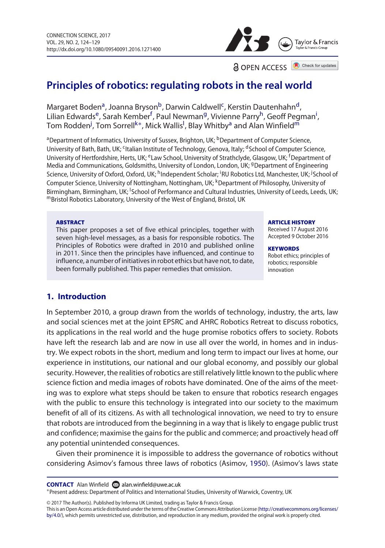

<span id="page-1-1"></span>Check for updates <u>ခါ OPEN ACCESS</u>

# **Principles of robotics: regulating robots in the real world**

Margaret Boden<sup>a</sup>, Joanna Bryson<sup>b</sup>, Darwin Caldwell<sup>c</sup>, Kerstin Dautenhahn<sup>d</sup>, Lilian Edwards<sup>e</sup>, Sarah Kember<sup>f</sup>, Paul Newman<sup>g</sup>, Vivienne Parry<sup>h</sup>, Geoff Pegman<sup>i</sup>, Tom Rodden<sup>[j](#page-1-9)</sup>, Tom Sorrell<sup>[k](#page-1-10)∗</sup>, Mick Wa[l](#page-1-11)lis<sup>l</sup>, Blay Whitby<sup>a</sup> and Alan Winfield<sup>[m](#page-1-12)</sup>

<span id="page-1-4"></span><span id="page-1-2"></span><span id="page-1-0"></span><sup>a</sup>Department of Informatics, University of Sussex, Brighton, UK; <sup>b</sup>Department of Computer Science, University of Bath, Bath, UK; <sup>c</sup>Italian Institute of Technology, Genova, Italy; <sup>d</sup>School of Computer Science, University of Hertfordshire, Herts, UK; <sup>e</sup>Law School, University of Strathclyde, Glasgow, UK; <sup>f</sup> Department of Media and Communications, Goldsmiths, University of London, London, UK; <sup>g</sup>Department of Engineering Science, University of Oxford, Oxford, UK; <sup>h</sup>Independent Scholar; <sup>i</sup>RU Robotics Ltd, Manchester, UK; <sup>j</sup>School of Computer Science, University of Nottingham, Nottingham, UK; <sup>k</sup>Department of Philosophy, University of Birmingham, Birmingham, UK; <sup>I</sup>School of Performance and Cultural Industries, University of Leeds, Leeds, UK;<br><sup>m</sup>Bristol Robotics Laboratory, University of the West of England, Bristol, UK

#### <span id="page-1-12"></span><span id="page-1-11"></span><span id="page-1-7"></span>**ABSTRACT**

This paper proposes a set of five ethical principles, together with seven high-level messages, as a basis for responsible robotics. The Principles of Robotics were drafted in 2010 and published online in 2011. Since then the principles have influenced, and continue to influence, a number of initiatives in robot ethics but have not, to date, been formally published. This paper remedies that omission.

#### <span id="page-1-10"></span><span id="page-1-9"></span><span id="page-1-8"></span><span id="page-1-6"></span><span id="page-1-5"></span><span id="page-1-3"></span>**ARTICLE HISTORY**

Received 17 August 2016 Accepted 9 October 2016

#### **KEYWORDS**

Robot ethics; principles of robotics; responsible innovation

### <span id="page-1-13"></span>**1. Introduction**

In September 2010, a group drawn from the worlds of technology, industry, the arts, law and social sciences met at the joint EPSRC and AHRC Robotics Retreat to discuss robotics, its applications in the real world and the huge promise robotics offers to society. Robots have left the research lab and are now in use all over the world, in homes and in industry. We expect robots in the short, medium and long term to impact our lives at home, our experience in institutions, our national and our global economy, and possibly our global security. However, the realities of robotics are still relatively little known to the public where science fiction and media images of robots have dominated. One of the aims of the meeting was to explore what steps should be taken to ensure that robotics research engages with the public to ensure this technology is integrated into our society to the maximum benefit of all of its citizens. As with all technological innovation, we need to try to ensure that robots are introduced from the beginning in a way that is likely to engage public trust and confidence; maximise the gains for the public and commerce; and proactively head off any potential unintended consequences.

<span id="page-1-14"></span>Given their prominence it is impossible to address the governance of robotics without considering Asimov's famous three laws of robotics (Asimov, [1950\)](#page-6-0). (Asimov's laws state

**CONTACT** Alan Winfield [alan.winfield@uwe.ac.uk](mailto:alan.winfield@uwe.ac.uk)

∗Present address: Department of Politics and International Studies, University of Warwick, Coventry, UK

© 2017 The Author(s). Published by Informa UK Limited, trading as Taylor & Francis Group.

This is an Open Access article distributed under the terms of the Creative Commons Attribution License [\(http://creativecommons.org/licenses/](http://creativecommons.org/licenses/by/4.0/) [by/4.0/\)](http://creativecommons.org/licenses/by/4.0/), which permits unrestricted use, distribution, and reproduction in any medium, provided the original work is properly cited.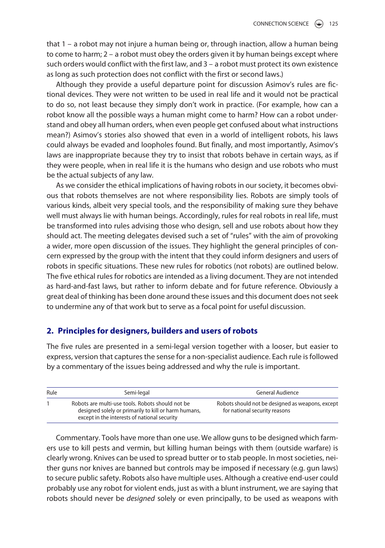that 1 – a robot may not injure a human being or, through inaction, allow a human being to come to harm; 2 – a robot must obey the orders given it by human beings except where such orders would conflict with the first law, and 3 – a robot must protect its own existence as long as such protection does not conflict with the first or second laws.)

Although they provide a useful departure point for discussion Asimov's rules are fictional devices. They were not written to be used in real life and it would not be practical to do so, not least because they simply don't work in practice. (For example, how can a robot know all the possible ways a human might come to harm? How can a robot understand and obey all human orders, when even people get confused about what instructions mean?) Asimov's stories also showed that even in a world of intelligent robots, his laws could always be evaded and loopholes found. But finally, and most importantly, Asimov's laws are inappropriate because they try to insist that robots behave in certain ways, as if they were people, when in real life it is the humans who design and use robots who must be the actual subjects of any law.

As we consider the ethical implications of having robots in our society, it becomes obvious that robots themselves are not where responsibility lies. Robots are simply tools of various kinds, albeit very special tools, and the responsibility of making sure they behave well must always lie with human beings. Accordingly, rules for real robots in real life, must be transformed into rules advising those who design, sell and use robots about how they should act. The meeting delegates devised such a set of "rules" with the aim of provoking a wider, more open discussion of the issues. They highlight the general principles of concern expressed by the group with the intent that they could inform designers and users of robots in specific situations. These new rules for robotics (not robots) are outlined below. The five ethical rules for robotics are intended as a living document. They are not intended as hard-and-fast laws, but rather to inform debate and for future reference. Obviously a great deal of thinking has been done around these issues and this document does not seek to undermine any of that work but to serve as a focal point for useful discussion.

### **2. Principles for designers, builders and users of robots**

The five rules are presented in a semi-legal version together with a looser, but easier to express, version that captures the sense for a non-specialist audience. Each rule is followed by a commentary of the issues being addressed and why the rule is important.

| Rule | Semi-legal                                                                                                                                               | General Audience                                                                  |
|------|----------------------------------------------------------------------------------------------------------------------------------------------------------|-----------------------------------------------------------------------------------|
|      | Robots are multi-use tools. Robots should not be<br>designed solely or primarily to kill or harm humans,<br>except in the interests of national security | Robots should not be designed as weapons, except<br>for national security reasons |

Commentary. Tools have more than one use. We allow guns to be designed which farmers use to kill pests and vermin, but killing human beings with them (outside warfare) is clearly wrong. Knives can be used to spread butter or to stab people. In most societies, neither guns nor knives are banned but controls may be imposed if necessary (e.g. gun laws) to secure public safety. Robots also have multiple uses. Although a creative end-user could probably use any robot for violent ends, just as with a blunt instrument, we are saying that robots should never be *designed* solely or even principally, to be used as weapons with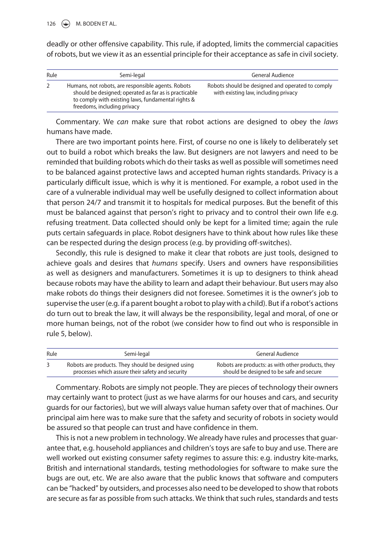deadly or other offensive capability. This rule, if adopted, limits the commercial capacities of robots, but we view it as an essential principle for their acceptance as safe in civil society.

| Rule | Semi-legal                                                                                                                                                                                       | <b>General Audience</b>                                                                  |
|------|--------------------------------------------------------------------------------------------------------------------------------------------------------------------------------------------------|------------------------------------------------------------------------------------------|
|      | Humans, not robots, are responsible agents. Robots<br>should be designed; operated as far as is practicable<br>to comply with existing laws, fundamental rights &<br>freedoms, including privacy | Robots should be designed and operated to comply<br>with existing law, including privacy |

Commentary. We *can* make sure that robot actions are designed to obey the *laws* humans have made.

There are two important points here. First, of course no one is likely to deliberately set out to build a robot which breaks the law. But designers are not lawyers and need to be reminded that building robots which do their tasks as well as possible will sometimes need to be balanced against protective laws and accepted human rights standards. Privacy is a particularly difficult issue, which is why it is mentioned. For example, a robot used in the care of a vulnerable individual may well be usefully designed to collect information about that person 24/7 and transmit it to hospitals for medical purposes. But the benefit of this must be balanced against that person's right to privacy and to control their own life e.g. refusing treatment. Data collected should only be kept for a limited time; again the rule puts certain safeguards in place. Robot designers have to think about how rules like these can be respected during the design process (e.g. by providing off-switches).

Secondly, this rule is designed to make it clear that robots are just tools, designed to achieve goals and desires that *humans* specify. Users and owners have responsibilities as well as designers and manufacturers. Sometimes it is up to designers to think ahead because robots may have the ability to learn and adapt their behaviour. But users may also make robots do things their designers did not foresee. Sometimes it is the owner's job to supervise the user (e.g. if a parent bought a robot to play with a child). But if a robot's actions do turn out to break the law, it will always be the responsibility, legal and moral, of one or more human beings, not of the robot (we consider how to find out who is responsible in rule 5, below).

| Rule | Semi-legal                                                                                             | General Audience                                                                              |
|------|--------------------------------------------------------------------------------------------------------|-----------------------------------------------------------------------------------------------|
|      | Robots are products. They should be designed using<br>processes which assure their safety and security | Robots are products: as with other products, they<br>should be designed to be safe and secure |

Commentary. Robots are simply not people. They are pieces of technology their owners may certainly want to protect (just as we have alarms for our houses and cars, and security guards for our factories), but we will always value human safety over that of machines. Our principal aim here was to make sure that the safety and security of robots in society would be assured so that people can trust and have confidence in them.

This is not a new problem in technology. We already have rules and processes that guarantee that, e.g. household appliances and children's toys are safe to buy and use. There are well worked out existing consumer safety regimes to assure this: e.g. industry kite-marks, British and international standards, testing methodologies for software to make sure the bugs are out, etc. We are also aware that the public knows that software and computers can be "hacked" by outsiders, and processes also need to be developed to show that robots are secure as far as possible from such attacks. We think that such rules, standards and tests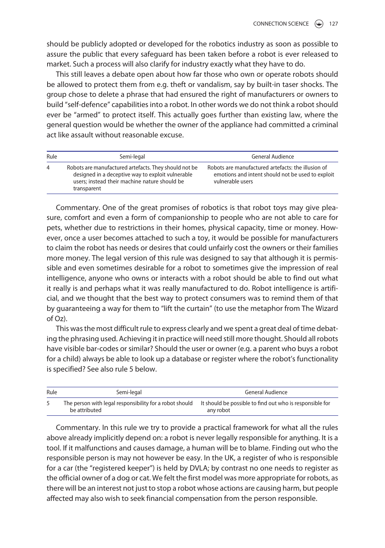should be publicly adopted or developed for the robotics industry as soon as possible to assure the public that every safeguard has been taken before a robot is ever released to market. Such a process will also clarify for industry exactly what they have to do.

This still leaves a debate open about how far those who own or operate robots should be allowed to protect them from e.g. theft or vandalism, say by built-in taser shocks. The group chose to delete a phrase that had ensured the right of manufacturers or owners to build "self-defence" capabilities into a robot. In other words we do not think a robot should ever be "armed" to protect itself. This actually goes further than existing law, where the general question would be whether the owner of the appliance had committed a criminal act like assault without reasonable excuse.

| Rule | Semi-legal                                                                                                                                                                 | <b>General Audience</b>                                                                                                     |
|------|----------------------------------------------------------------------------------------------------------------------------------------------------------------------------|-----------------------------------------------------------------------------------------------------------------------------|
| 4    | Robots are manufactured artefacts. They should not be<br>designed in a deceptive way to exploit vulnerable<br>users; instead their machine nature should be<br>transparent | Robots are manufactured artefacts: the illusion of<br>emotions and intent should not be used to exploit<br>vulnerable users |

Commentary. One of the great promises of robotics is that robot toys may give pleasure, comfort and even a form of companionship to people who are not able to care for pets, whether due to restrictions in their homes, physical capacity, time or money. However, once a user becomes attached to such a toy, it would be possible for manufacturers to claim the robot has needs or desires that could unfairly cost the owners or their families more money. The legal version of this rule was designed to say that although it is permissible and even sometimes desirable for a robot to sometimes give the impression of real intelligence, anyone who owns or interacts with a robot should be able to find out what it really is and perhaps what it was really manufactured to do. Robot intelligence is artificial, and we thought that the best way to protect consumers was to remind them of that by guaranteeing a way for them to "lift the curtain" (to use the metaphor from The Wizard of Oz).

This was the most difficult rule to express clearly and we spent a great deal of time debating the phrasing used. Achieving it in practice will need still more thought. Should all robots have visible bar-codes or similar? Should the user or owner (e.g. a parent who buys a robot for a child) always be able to look up a database or register where the robot's functionality is specified? See also rule 5 below.

| Rule | Semi-legal    | General Audience                                                                                                              |
|------|---------------|-------------------------------------------------------------------------------------------------------------------------------|
|      | be attributed | The person with legal responsibility for a robot should It should be possible to find out who is responsible for<br>any robot |

Commentary. In this rule we try to provide a practical framework for what all the rules above already implicitly depend on: a robot is never legally responsible for anything. It is a tool. If it malfunctions and causes damage, a human will be to blame. Finding out who the responsible person is may not however be easy. In the UK, a register of who is responsible for a car (the "registered keeper") is held by DVLA; by contrast no one needs to register as the official owner of a dog or cat. We felt the first model was more appropriate for robots, as there will be an interest not just to stop a robot whose actions are causing harm, but people affected may also wish to seek financial compensation from the person responsible.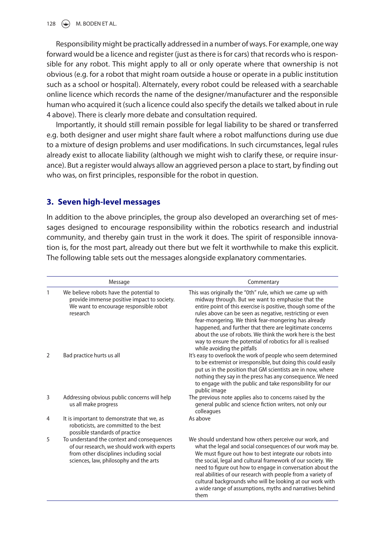128  $\bigoplus$  M. BODEN ET AL.

Responsibility might be practically addressed in a number of ways. For example, one way forward would be a licence and register (just as there is for cars) that records who is responsible for any robot. This might apply to all or only operate where that ownership is not obvious (e.g. for a robot that might roam outside a house or operate in a public institution such as a school or hospital). Alternately, every robot could be released with a searchable online licence which records the name of the designer/manufacturer and the responsible human who acquired it (such a licence could also specify the details we talked about in rule 4 above). There is clearly more debate and consultation required.

Importantly, it should still remain possible for legal liability to be shared or transferred e.g. both designer and user might share fault where a robot malfunctions during use due to a mixture of design problems and user modifications. In such circumstances, legal rules already exist to allocate liability (although we might wish to clarify these, or require insurance). But a register would always allow an aggrieved person a place to start, by finding out who was, on first principles, responsible for the robot in question.

### <span id="page-5-0"></span>**3. Seven high-level messages**

In addition to the above principles, the group also developed an overarching set of messages designed to encourage responsibility within the robotics research and industrial community, and thereby gain trust in the work it does. The spirit of responsible innovation is, for the most part, already out there but we felt it worthwhile to make this explicit. The following table sets out the messages alongside explanatory commentaries.

|   | Message                                                                                                                                                                         | Commentary                                                                                                                                                                                                                                                                                                                                                                                                                                                                                                                  |
|---|---------------------------------------------------------------------------------------------------------------------------------------------------------------------------------|-----------------------------------------------------------------------------------------------------------------------------------------------------------------------------------------------------------------------------------------------------------------------------------------------------------------------------------------------------------------------------------------------------------------------------------------------------------------------------------------------------------------------------|
| 1 | We believe robots have the potential to<br>provide immense positive impact to society.<br>We want to encourage responsible robot<br>research                                    | This was originally the "0th" rule, which we came up with<br>midway through. But we want to emphasise that the<br>entire point of this exercise is positive, though some of the<br>rules above can be seen as negative, restricting or even<br>fear-mongering. We think fear-mongering has already<br>happened, and further that there are legitimate concerns<br>about the use of robots. We think the work here is the best<br>way to ensure the potential of robotics for all is realised<br>while avoiding the pitfalls |
| 2 | Bad practice hurts us all                                                                                                                                                       | It's easy to overlook the work of people who seem determined<br>to be extremist or irresponsible, but doing this could easily<br>put us in the position that GM scientists are in now, where<br>nothing they say in the press has any consequence. We need<br>to engage with the public and take responsibility for our<br>public image                                                                                                                                                                                     |
| 3 | Addressing obvious public concerns will help<br>us all make progress                                                                                                            | The previous note applies also to concerns raised by the<br>general public and science fiction writers, not only our<br>colleagues                                                                                                                                                                                                                                                                                                                                                                                          |
| 4 | It is important to demonstrate that we, as<br>roboticists, are committed to the best<br>possible standards of practice                                                          | As above                                                                                                                                                                                                                                                                                                                                                                                                                                                                                                                    |
| 5 | To understand the context and consequences<br>of our research, we should work with experts<br>from other disciplines including social<br>sciences, law, philosophy and the arts | We should understand how others perceive our work, and<br>what the legal and social consequences of our work may be.<br>We must figure out how to best integrate our robots into<br>the social, legal and cultural framework of our society. We<br>need to figure out how to engage in conversation about the<br>real abilities of our research with people from a variety of<br>cultural backgrounds who will be looking at our work with<br>a wide range of assumptions, myths and narratives behind<br>them              |